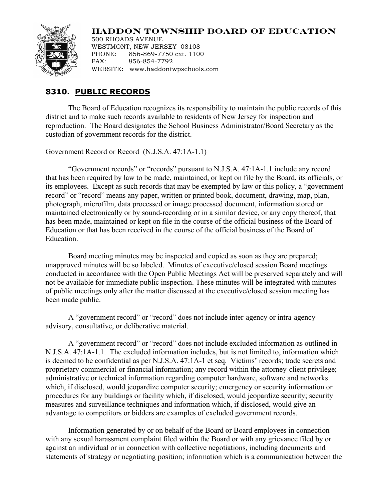## **HADDON TOWNSHIP BOARD OF EDUCATION**



500 RHOADS AVENUE WESTMONT, NEW JERSEY 08108 PHONE: 856-869-7750 ext. 1100 FAX: 856-854-7792 WEBSITE: www.haddontwpschools.com

## **8310. PUBLIC RECORDS**

The Board of Education recognizes its responsibility to maintain the public records of this district and to make such records available to residents of New Jersey for inspection and reproduction. The Board designates the School Business Administrator/Board Secretary as the custodian of government records for the district.

Government Record or Record (N.J.S.A. 47:1A-1.1)

"Government records" or "records" pursuant to N.J.S.A. 47:1A-1.1 include any record that has been required by law to be made, maintained, or kept on file by the Board, its officials, or its employees. Except as such records that may be exempted by law or this policy, a "government record" or "record" means any paper, written or printed book, document, drawing, map, plan, photograph, microfilm, data processed or image processed document, information stored or maintained electronically or by sound-recording or in a similar device, or any copy thereof, that has been made, maintained or kept on file in the course of the official business of the Board of Education or that has been received in the course of the official business of the Board of Education.

Board meeting minutes may be inspected and copied as soon as they are prepared; unapproved minutes will be so labeled. Minutes of executive/closed session Board meetings conducted in accordance with the Open Public Meetings Act will be preserved separately and will not be available for immediate public inspection. These minutes will be integrated with minutes of public meetings only after the matter discussed at the executive/closed session meeting has been made public.

A "government record" or "record" does not include inter-agency or intra-agency advisory, consultative, or deliberative material.

A "government record" or "record" does not include excluded information as outlined in N.J.S.A. 47:1A-1.1. The excluded information includes, but is not limited to, information which is deemed to be confidential as per N.J.S.A. 47:1A-1 et seq. Victims' records; trade secrets and proprietary commercial or financial information; any record within the attorney-client privilege; administrative or technical information regarding computer hardware, software and networks which, if disclosed, would jeopardize computer security; emergency or security information or procedures for any buildings or facility which, if disclosed, would jeopardize security; security measures and surveillance techniques and information which, if disclosed, would give an advantage to competitors or bidders are examples of excluded government records.

Information generated by or on behalf of the Board or Board employees in connection with any sexual harassment complaint filed within the Board or with any grievance filed by or against an individual or in connection with collective negotiations, including documents and statements of strategy or negotiating position; information which is a communication between the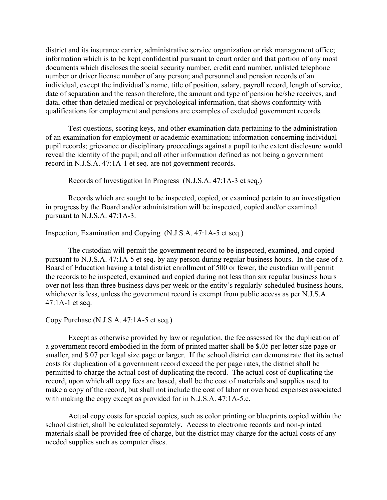district and its insurance carrier, administrative service organization or risk management office; information which is to be kept confidential pursuant to court order and that portion of any most documents which discloses the social security number, credit card number, unlisted telephone number or driver license number of any person; and personnel and pension records of an individual, except the individual's name, title of position, salary, payroll record, length of service, date of separation and the reason therefore, the amount and type of pension he/she receives, and data, other than detailed medical or psychological information, that shows conformity with qualifications for employment and pensions are examples of excluded government records.

Test questions, scoring keys, and other examination data pertaining to the administration of an examination for employment or academic examination; information concerning individual pupil records; grievance or disciplinary proceedings against a pupil to the extent disclosure would reveal the identity of the pupil; and all other information defined as not being a government record in N.J.S.A. 47:1A-1 et seq. are not government records.

Records of Investigation In Progress (N.J.S.A. 47:1A-3 et seq.)

Records which are sought to be inspected, copied, or examined pertain to an investigation in progress by the Board and/or administration will be inspected, copied and/or examined pursuant to N.J.S.A. 47:1A-3.

Inspection, Examination and Copying (N.J.S.A. 47:1A-5 et seq.)

The custodian will permit the government record to be inspected, examined, and copied pursuant to N.J.S.A. 47:1A-5 et seq. by any person during regular business hours. In the case of a Board of Education having a total district enrollment of 500 or fewer, the custodian will permit the records to be inspected, examined and copied during not less than six regular business hours over not less than three business days per week or the entity's regularly-scheduled business hours, whichever is less, unless the government record is exempt from public access as per N.J.S.A. 47:1A-1 et seq.

Copy Purchase (N.J.S.A. 47:1A-5 et seq.)

Except as otherwise provided by law or regulation, the fee assessed for the duplication of a government record embodied in the form of printed matter shall be \$.05 per letter size page or smaller, and \$.07 per legal size page or larger. If the school district can demonstrate that its actual costs for duplication of a government record exceed the per page rates, the district shall be permitted to charge the actual cost of duplicating the record. The actual cost of duplicating the record, upon which all copy fees are based, shall be the cost of materials and supplies used to make a copy of the record, but shall not include the cost of labor or overhead expenses associated with making the copy except as provided for in N.J.S.A. 47:1A-5.c.

Actual copy costs for special copies, such as color printing or blueprints copied within the school district, shall be calculated separately. Access to electronic records and non-printed materials shall be provided free of charge, but the district may charge for the actual costs of any needed supplies such as computer discs.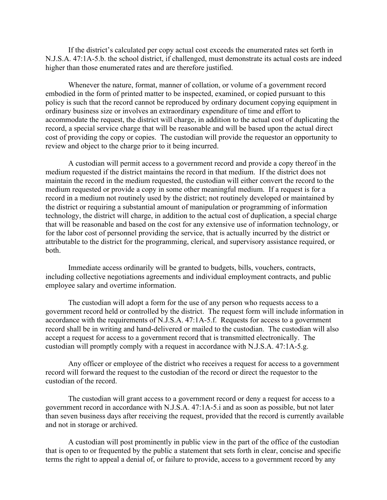If the district's calculated per copy actual cost exceeds the enumerated rates set forth in N.J.S.A. 47:1A-5.b. the school district, if challenged, must demonstrate its actual costs are indeed higher than those enumerated rates and are therefore justified.

Whenever the nature, format, manner of collation, or volume of a government record embodied in the form of printed matter to be inspected, examined, or copied pursuant to this policy is such that the record cannot be reproduced by ordinary document copying equipment in ordinary business size or involves an extraordinary expenditure of time and effort to accommodate the request, the district will charge, in addition to the actual cost of duplicating the record, a special service charge that will be reasonable and will be based upon the actual direct cost of providing the copy or copies. The custodian will provide the requestor an opportunity to review and object to the charge prior to it being incurred.

A custodian will permit access to a government record and provide a copy thereof in the medium requested if the district maintains the record in that medium. If the district does not maintain the record in the medium requested, the custodian will either convert the record to the medium requested or provide a copy in some other meaningful medium. If a request is for a record in a medium not routinely used by the district; not routinely developed or maintained by the district or requiring a substantial amount of manipulation or programming of information technology, the district will charge, in addition to the actual cost of duplication, a special charge that will be reasonable and based on the cost for any extensive use of information technology, or for the labor cost of personnel providing the service, that is actually incurred by the district or attributable to the district for the programming, clerical, and supervisory assistance required, or both.

Immediate access ordinarily will be granted to budgets, bills, vouchers, contracts, including collective negotiations agreements and individual employment contracts, and public employee salary and overtime information.

The custodian will adopt a form for the use of any person who requests access to a government record held or controlled by the district. The request form will include information in accordance with the requirements of N.J.S.A. 47:1A-5.f. Requests for access to a government record shall be in writing and hand-delivered or mailed to the custodian. The custodian will also accept a request for access to a government record that is transmitted electronically. The custodian will promptly comply with a request in accordance with N.J.S.A. 47:1A-5.g.

Any officer or employee of the district who receives a request for access to a government record will forward the request to the custodian of the record or direct the requestor to the custodian of the record.

The custodian will grant access to a government record or deny a request for access to a government record in accordance with N.J.S.A. 47:1A-5.i and as soon as possible, but not later than seven business days after receiving the request, provided that the record is currently available and not in storage or archived.

A custodian will post prominently in public view in the part of the office of the custodian that is open to or frequented by the public a statement that sets forth in clear, concise and specific terms the right to appeal a denial of, or failure to provide, access to a government record by any